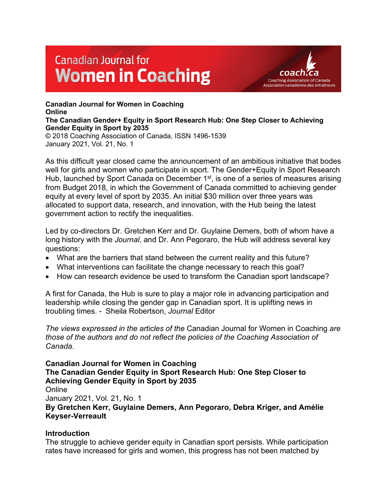# **Canadian Journal for Women in Coaching**



**Canadian Journal for Women in Coaching Online The Canadian Gender+ Equity in Sport Research Hub: One Step Closer to Achieving Gender Equity in Sport by 2035** © 2018 Coaching Association of Canada, ISSN 1496-1539 January 2021, Vol. 21, No. 1

As this difficult year closed came the announcement of an ambitious initiative that bodes well for girls and women who participate in sport. The Gender+Equity in Sport Research Hub, launched by Sport Canada on December 1<sup>st</sup>, is one of a series of measures arising from Budget 2018, in which the Government of Canada committed to achieving gender equity at every level of sport by 2035. An initial \$30 million over three years was allocated to support data, research, and innovation, with the Hub being the latest government action to rectify the inequalities.

Led by co-directors Dr. Gretchen Kerr and Dr. Guylaine Demers, both of whom have a long history with the *Journal*, and Dr. Ann Pegoraro, the Hub will address several key questions:

- What are the barriers that stand between the current reality and this future?
- What interventions can facilitate the change necessary to reach this goal?
- How can research evidence be used to transform the Canadian sport landscape?

A first for Canada, the Hub is sure to play a major role in advancing participation and leadership while closing the gender gap in Canadian sport. It is uplifting news in troubling times. - Sheila Robertson, *Journal* Editor

*The views expressed in the articles of the* Canadian Journal for Women in Coaching *are those of the authors and do not reflect the policies of the Coaching Association of Canada.*

**Canadian Journal for Women in Coaching The Canadian Gender Equity in Sport Research Hub: One Step Closer to Achieving Gender Equity in Sport by 2035**

**Online** 

January 2021, Vol. 21, No. 1

**By Gretchen Kerr, Guylaine Demers, Ann Pegoraro, Debra Kriger, and Amélie Keyser-Verreault**

## **Introduction**

The struggle to achieve gender equity in Canadian sport persists. While participation rates have increased for girls and women, this progress has not been matched by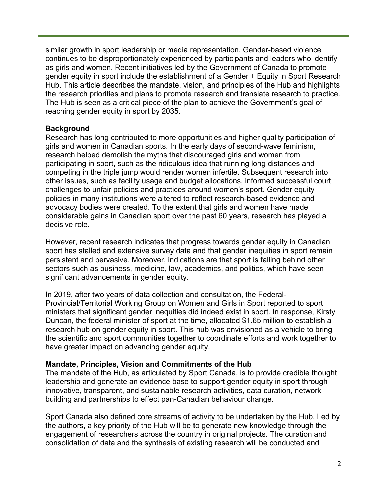similar growth in sport leadership or media representation. Gender-based violence continues to be disproportionately experienced by participants and leaders who identify as girls and women. Recent initiatives led by the Government of Canada to promote gender equity in sport include the establishment of a Gender + Equity in Sport Research Hub. This article describes the mandate, vision, and principles of the Hub and highlights the research priorities and plans to promote research and translate research to practice. The Hub is seen as a critical piece of the plan to achieve the Government's goal of reaching gender equity in sport by 2035.

#### **Background**

Research has long contributed to more opportunities and higher quality participation of girls and women in Canadian sports. In the early days of second-wave feminism, research helped demolish the myths that discouraged girls and women from participating in sport, such as the ridiculous idea that running long distances and competing in the triple jump would render women infertile. Subsequent research into other issues, such as facility usage and budget allocations, informed successful court challenges to unfair policies and practices around women's sport. Gender equity policies in many institutions were altered to reflect research-based evidence and advocacy bodies were created. To the extent that girls and women have made considerable gains in Canadian sport over the past 60 years, research has played a decisive role.

However, recent research indicates that progress towards gender equity in Canadian sport has stalled and extensive survey data and that gender inequities in sport remain persistent and pervasive. Moreover, indications are that sport is falling behind other sectors such as business, medicine, law, academics, and politics, which have seen significant advancements in gender equity.

In 2019, after two years of data collection and consultation, the Federal-Provincial/Territorial Working Group on Women and Girls in Sport reported to sport ministers that significant gender inequities did indeed exist in sport. In response, Kirsty Duncan, the federal minister of sport at the time, allocated \$1.65 million to establish a research hub on gender equity in sport. This hub was envisioned as a vehicle to bring the scientific and sport communities together to coordinate efforts and work together to have greater impact on advancing gender equity.

#### **Mandate, Principles, Vision and Commitments of the Hub**

The mandate of the Hub, as articulated by Sport Canada, is to provide credible thought leadership and generate an evidence base to support gender equity in sport through innovative, transparent, and sustainable research activities, data curation, network building and partnerships to effect pan-Canadian behaviour change.

Sport Canada also defined core streams of activity to be undertaken by the Hub. Led by the authors, a key priority of the Hub will be to generate new knowledge through the engagement of researchers across the country in original projects. The curation and consolidation of data and the synthesis of existing research will be conducted and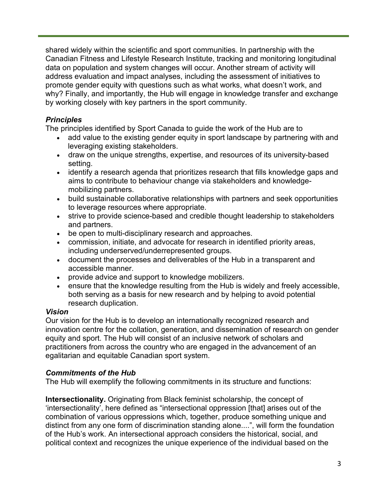shared widely within the scientific and sport communities. In partnership with the Canadian Fitness and Lifestyle Research Institute, tracking and monitoring longitudinal data on population and system changes will occur. Another stream of activity will address evaluation and impact analyses, including the assessment of initiatives to promote gender equity with questions such as what works, what doesn't work, and why? Finally, and importantly, the Hub will engage in knowledge transfer and exchange by working closely with key partners in the sport community.

## *Principles*

The principles identified by Sport Canada to guide the work of the Hub are to

- add value to the existing gender equity in sport landscape by partnering with and leveraging existing stakeholders.
- draw on the unique strengths, expertise, and resources of its university-based setting.
- identify a research agenda that prioritizes research that fills knowledge gaps and aims to contribute to behaviour change via stakeholders and knowledgemobilizing partners.
- build sustainable collaborative relationships with partners and seek opportunities to leverage resources where appropriate.
- strive to provide science-based and credible thought leadership to stakeholders and partners.
- be open to multi-disciplinary research and approaches.
- commission, initiate, and advocate for research in identified priority areas, including underserved/underrepresented groups.
- document the processes and deliverables of the Hub in a transparent and accessible manner.
- provide advice and support to knowledge mobilizers.
- ensure that the knowledge resulting from the Hub is widely and freely accessible, both serving as a basis for new research and by helping to avoid potential research duplication.

## *Vision*

Our vision for the Hub is to develop an internationally recognized research and innovation centre for the collation, generation, and dissemination of research on gender equity and sport. The Hub will consist of an inclusive network of scholars and practitioners from across the country who are engaged in the advancement of an egalitarian and equitable Canadian sport system.

## *Commitments of the Hub*

The Hub will exemplify the following commitments in its structure and functions:

**Intersectionality.** Originating from Black feminist scholarship, the concept of 'intersectionality', here defined as "intersectional oppression [that] arises out of the combination of various oppressions which, together, produce something unique and distinct from any one form of discrimination standing alone....", will form the foundation of the Hub's work. An intersectional approach considers the historical, social, and political context and recognizes the unique experience of the individual based on the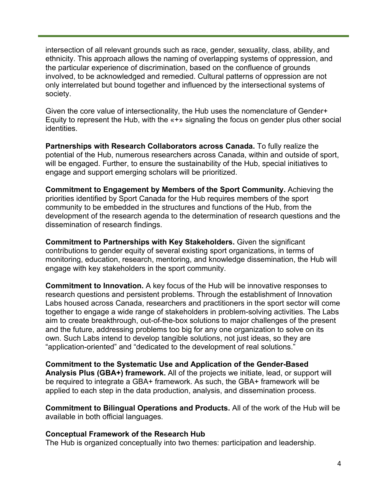intersection of all relevant grounds such as race, gender, sexuality, class, ability, and ethnicity. This approach allows the naming of overlapping systems of oppression, and the particular experience of discrimination, based on the confluence of grounds involved, to be acknowledged and remedied. Cultural patterns of oppression are not only interrelated but bound together and influenced by the intersectional systems of society.

Given the core value of intersectionality, the Hub uses the nomenclature of Gender+ Equity to represent the Hub, with the «+» signaling the focus on gender plus other social identities.

**Partnerships with Research Collaborators across Canada.** To fully realize the potential of the Hub, numerous researchers across Canada, within and outside of sport, will be engaged. Further, to ensure the sustainability of the Hub, special initiatives to engage and support emerging scholars will be prioritized.

**Commitment to Engagement by Members of the Sport Community.** Achieving the priorities identified by Sport Canada for the Hub requires members of the sport community to be embedded in the structures and functions of the Hub, from the development of the research agenda to the determination of research questions and the dissemination of research findings.

**Commitment to Partnerships with Key Stakeholders.** Given the significant contributions to gender equity of several existing sport organizations, in terms of monitoring, education, research, mentoring, and knowledge dissemination, the Hub will engage with key stakeholders in the sport community.

**Commitment to Innovation.** A key focus of the Hub will be innovative responses to research questions and persistent problems. Through the establishment of Innovation Labs housed across Canada, researchers and practitioners in the sport sector will come together to engage a wide range of stakeholders in problem-solving activities. The Labs aim to create breakthrough, out-of-the-box solutions to major challenges of the present and the future, addressing problems too big for any one organization to solve on its own. Such Labs intend to develop tangible solutions, not just ideas, so they are "application-oriented" and "dedicated to the development of real solutions."

**Commitment to the Systematic Use and Application of the Gender-Based Analysis Plus (GBA+) framework.** All of the projects we initiate, lead, or support will be required to integrate a GBA+ framework. As such, the GBA+ framework will be applied to each step in the data production, analysis, and dissemination process.

**Commitment to Bilingual Operations and Products.** All of the work of the Hub will be available in both official languages.

#### **Conceptual Framework of the Research Hub**

The Hub is organized conceptually into two themes: participation and leadership.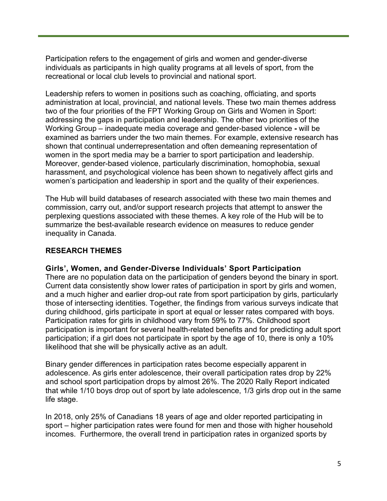Participation refers to the engagement of girls and women and gender-diverse individuals as participants in high quality programs at all levels of sport, from the recreational or local club levels to provincial and national sport.

Leadership refers to women in positions such as coaching, officiating, and sports administration at local, provincial, and national levels. These two main themes address two of the four priorities of the FPT Working Group on Girls and Women in Sport: addressing the gaps in participation and leadership. The other two priorities of the Working Group – inadequate media coverage and gender-based violence **-** will be examined as barriers under the two main themes. For example, extensive research has shown that continual underrepresentation and often demeaning representation of women in the sport media may be a barrier to sport participation and leadership. Moreover, gender-based violence, particularly discrimination, homophobia, sexual harassment, and psychological violence has been shown to negatively affect girls and women's participation and leadership in sport and the quality of their experiences.

The Hub will build databases of research associated with these two main themes and commission, carry out, and/or support research projects that attempt to answer the perplexing questions associated with these themes. A key role of the Hub will be to summarize the best-available research evidence on measures to reduce gender inequality in Canada.

## **RESEARCH THEMES**

#### **Girls', Women, and Gender-Diverse Individuals' Sport Participation**

There are no population data on the participation of genders beyond the binary in sport. Current data consistently show lower rates of participation in sport by girls and women, and a much higher and earlier drop-out rate from sport participation by girls, particularly those of intersecting identities. Together, the findings from various surveys indicate that during childhood, girls participate in sport at equal or lesser rates compared with boys. Participation rates for girls in childhood vary from 59% to 77%. Childhood sport participation is important for several health-related benefits and for predicting adult sport participation; if a girl does not participate in sport by the age of 10, there is only a 10% likelihood that she will be physically active as an adult.

Binary gender differences in participation rates become especially apparent in adolescence. As girls enter adolescence, their overall participation rates drop by 22% and school sport participation drops by almost 26%. The 2020 Rally Report indicated that while 1/10 boys drop out of sport by late adolescence, 1/3 girls drop out in the same life stage.

In 2018, only 25% of Canadians 18 years of age and older reported participating in sport – higher participation rates were found for men and those with higher household incomes. Furthermore, the overall trend in participation rates in organized sports by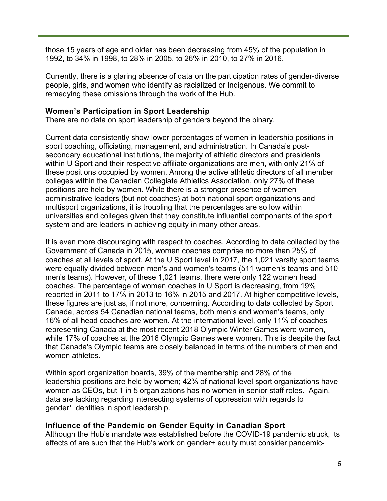those 15 years of age and older has been decreasing from 45% of the population in 1992, to 34% in 1998, to 28% in 2005, to 26% in 2010, to 27% in 2016.

Currently, there is a glaring absence of data on the participation rates of gender-diverse people, girls, and women who identify as racialized or Indigenous. We commit to remedying these omissions through the work of the Hub.

#### **Women's Participation in Sport Leadership**

There are no data on sport leadership of genders beyond the binary.

Current data consistently show lower percentages of women in leadership positions in sport coaching, officiating, management, and administration. In Canada's postsecondary educational institutions, the majority of athletic directors and presidents within U Sport and their respective affiliate organizations are men, with only 21% of these positions occupied by women. Among the active athletic directors of all member colleges within the Canadian Collegiate Athletics Association, only 27% of these positions are held by women. While there is a stronger presence of women administrative leaders (but not coaches) at both national sport organizations and multisport organizations, it is troubling that the percentages are so low within universities and colleges given that they constitute influential components of the sport system and are leaders in achieving equity in many other areas.

It is even more discouraging with respect to coaches. According to data collected by the Government of Canada in 2015, women coaches comprise no more than 25% of coaches at all levels of sport. At the U Sport level in 2017, the 1,021 varsity sport teams were equally divided between men's and women's teams (511 women's teams and 510 men's teams). However, of these 1,021 teams, there were only 122 women head coaches. The percentage of women coaches in U Sport is decreasing, from 19% reported in 2011 to 17% in 2013 to 16% in 2015 and 2017. At higher competitive levels, these figures are just as, if not more, concerning. According to data collected by Sport Canada, across 54 Canadian national teams, both men's and women's teams, only 16% of all head coaches are women. At the international level, only 11% of coaches representing Canada at the most recent 2018 Olympic Winter Games were women, while 17% of coaches at the 2016 Olympic Games were women. This is despite the fact that Canada's Olympic teams are closely balanced in terms of the numbers of men and women athletes.

Within sport organization boards, 39% of the membership and 28% of the leadership positions are held by women; 42% of national level sport organizations have women as CEOs, but 1 in 5 organizations has no women in senior staff roles. Again, data are lacking regarding intersecting systems of oppression with regards to gender+ identities in sport leadership.

## **Influence of the Pandemic on Gender Equity in Canadian Sport**

Although the Hub's mandate was established before the COVID-19 pandemic struck, its effects of are such that the Hub's work on gender+ equity must consider pandemic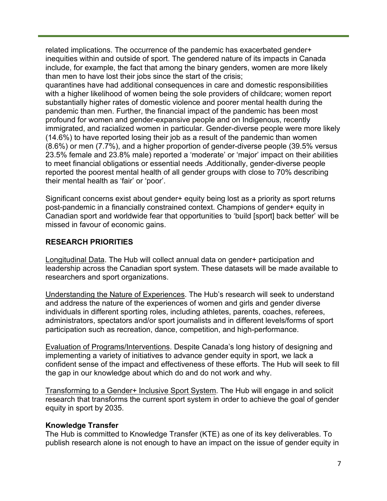related implications. The occurrence of the pandemic has exacerbated gender+ inequities within and outside of sport. The gendered nature of its impacts in Canada include, for example, the fact that among the binary genders, women are more likely than men to have lost their jobs since the start of the crisis;

quarantines have had additional consequences in care and domestic responsibilities with a higher likelihood of women being the sole providers of childcare; women report substantially higher rates of domestic violence and poorer mental health during the pandemic than men. Further, the financial impact of the pandemic has been most profound for women and gender-expansive people and on Indigenous, recently immigrated, and racialized women in particular. Gender-diverse people were more likely (14.6%) to have reported losing their job as a result of the pandemic than women (8.6%) or men (7.7%), and a higher proportion of gender-diverse people (39.5% versus 23.5% female and 23.8% male) reported a 'moderate' or 'major' impact on their abilities to meet financial obligations or essential needs .Additionally, gender-diverse people reported the poorest mental health of all gender groups with close to 70% describing their mental health as 'fair' or 'poor'.

Significant concerns exist about gender+ equity being lost as a priority as sport returns post-pandemic in a financially constrained context. Champions of gender+ equity in Canadian sport and worldwide fear that opportunities to 'build [sport] back better' will be missed in favour of economic gains.

### **RESEARCH PRIORITIES**

Longitudinal Data. The Hub will collect annual data on gender+ participation and leadership across the Canadian sport system. These datasets will be made available to researchers and sport organizations.

Understanding the Nature of Experiences. The Hub's research will seek to understand and address the nature of the experiences of women and girls and gender diverse individuals in different sporting roles, including athletes, parents, coaches, referees, administrators, spectators and/or sport journalists and in different levels/forms of sport participation such as recreation, dance, competition, and high-performance.

Evaluation of Programs/Interventions. Despite Canada's long history of designing and implementing a variety of initiatives to advance gender equity in sport, we lack a confident sense of the impact and effectiveness of these efforts. The Hub will seek to fill the gap in our knowledge about which do and do not work and why.

Transforming to a Gender+ Inclusive Sport System. The Hub will engage in and solicit research that transforms the current sport system in order to achieve the goal of gender equity in sport by 2035.

#### **Knowledge Transfer**

The Hub is committed to Knowledge Transfer (KTE) as one of its key deliverables. To publish research alone is not enough to have an impact on the issue of gender equity in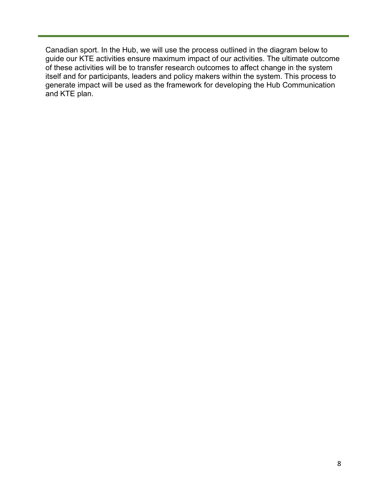Canadian sport. In the Hub, we will use the process outlined in the diagram below to guide our KTE activities ensure maximum impact of our activities. The ultimate outcome of these activities will be to transfer research outcomes to affect change in the system itself and for participants, leaders and policy makers within the system. This process to generate impact will be used as the framework for developing the Hub Communication and KTE plan.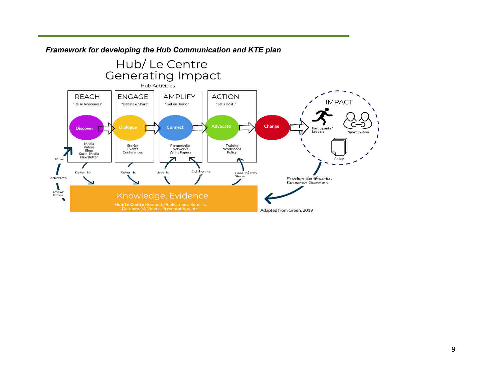

*Framework for developing the Hub Communication and KTE plan*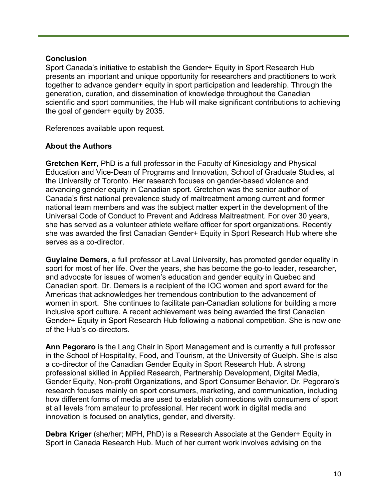#### **Conclusion**

Sport Canada's initiative to establish the Gender+ Equity in Sport Research Hub presents an important and unique opportunity for researchers and practitioners to work together to advance gender+ equity in sport participation and leadership. Through the generation, curation, and dissemination of knowledge throughout the Canadian scientific and sport communities, the Hub will make significant contributions to achieving the goal of gender+ equity by 2035.

References available upon request.

## **About the Authors**

**Gretchen Kerr,** PhD is a full professor in the Faculty of Kinesiology and Physical Education and Vice-Dean of Programs and Innovation, School of Graduate Studies, at the University of Toronto. Her research focuses on gender-based violence and advancing gender equity in Canadian sport. Gretchen was the senior author of Canada's first national prevalence study of maltreatment among current and former national team members and was the subject matter expert in the development of the Universal Code of Conduct to Prevent and Address Maltreatment. For over 30 years, she has served as a volunteer athlete welfare officer for sport organizations. Recently she was awarded the first Canadian Gender+ Equity in Sport Research Hub where she serves as a co-director.

**Guylaine Demers**, a full professor at Laval University, has promoted gender equality in sport for most of her life. Over the years, she has become the go-to leader, researcher, and advocate for issues of women's education and gender equity in Quebec and Canadian sport. Dr. Demers is a recipient of the IOC women and sport award for the Americas that acknowledges her tremendous contribution to the advancement of women in sport. She continues to facilitate pan-Canadian solutions for building a more inclusive sport culture. A recent achievement was being awarded the first Canadian Gender+ Equity in Sport Research Hub following a national competition. She is now one of the Hub's co-directors.

**Ann Pegoraro** is the Lang Chair in Sport Management and is currently a full professor in the School of Hospitality, Food, and Tourism, at the University of Guelph. She is also a co-director of the Canadian Gender Equity in Sport Research Hub. A strong professional skilled in Applied Research, Partnership Development, Digital Media, Gender Equity, Non-profit Organizations, and Sport Consumer Behavior. Dr. Pegoraro's research focuses mainly on sport consumers, marketing, and communication, including how different forms of media are used to establish connections with consumers of sport at all levels from amateur to professional. Her recent work in digital media and innovation is focused on analytics, gender, and diversity.

**Debra Kriger** (she/her; MPH, PhD) is a Research Associate at the Gender+ Equity in Sport in Canada Research Hub. Much of her current work involves advising on the